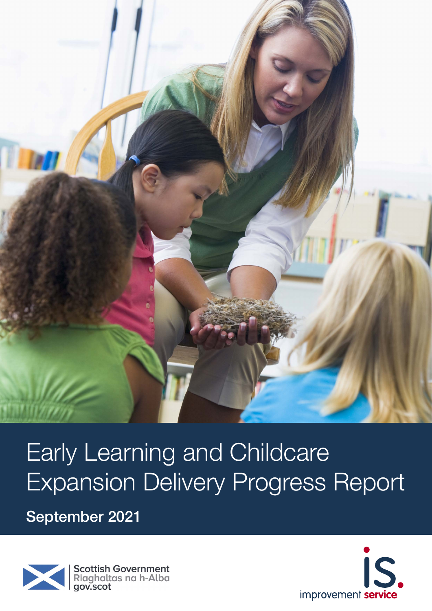

# Early Learning and Childcare Expansion Delivery Progress Report

September 2021



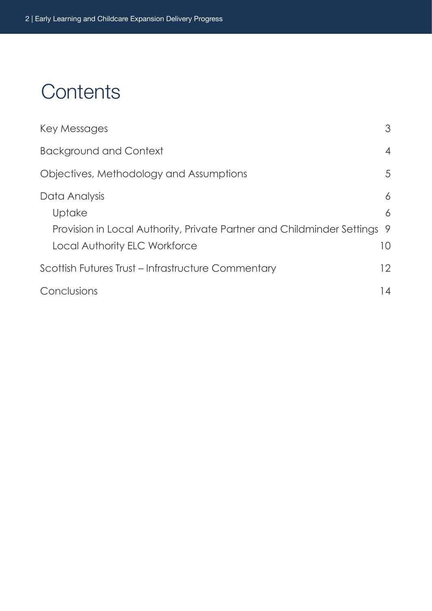# **Contents**

| Key Messages                                                                                                                       | 3                              |
|------------------------------------------------------------------------------------------------------------------------------------|--------------------------------|
| <b>Background and Context</b>                                                                                                      | $\overline{4}$                 |
| Objectives, Methodology and Assumptions                                                                                            | 5                              |
| Data Analysis<br>Uptake<br>Provision in Local Authority, Private Partner and Childminder Settings<br>Local Authority ELC Workforce | 6<br>6<br>9<br>10 <sup>°</sup> |
| Scottish Futures Trust – Infrastructure Commentary                                                                                 | 12                             |
| Conclusions                                                                                                                        | 14                             |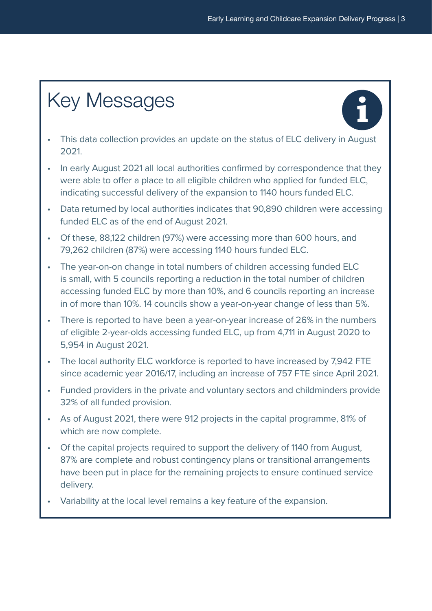# <span id="page-2-0"></span>Key Messages



- This data collection provides an update on the status of ELC delivery in August 2021.
- In early August 2021 all local authorities confirmed by correspondence that they were able to offer a place to all eligible children who applied for funded ELC, indicating successful delivery of the expansion to 1140 hours funded ELC.
- Data returned by local authorities indicates that 90,890 children were accessing funded ELC as of the end of August 2021.
- Of these, 88,122 children (97%) were accessing more than 600 hours, and 79,262 children (87%) were accessing 1140 hours funded ELC.
- The year-on-on change in total numbers of children accessing funded ELC is small, with 5 councils reporting a reduction in the total number of children accessing funded ELC by more than 10%, and 6 councils reporting an increase in of more than 10%. 14 councils show a year-on-year change of less than 5%.
- There is reported to have been a year-on-year increase of 26% in the numbers of eligible 2-year-olds accessing funded ELC, up from 4,711 in August 2020 to 5,954 in August 2021.
- The local authority ELC workforce is reported to have increased by 7,942 FTE since academic year 2016/17, including an increase of 757 FTE since April 2021.
- Funded providers in the private and voluntary sectors and childminders provide 32% of all funded provision.
- As of August 2021, there were 912 projects in the capital programme, 81% of which are now complete.
- Of the capital projects required to support the delivery of 1140 from August, 87% are complete and robust contingency plans or transitional arrangements have been put in place for the remaining projects to ensure continued service delivery.
- Variability at the local level remains a key feature of the expansion.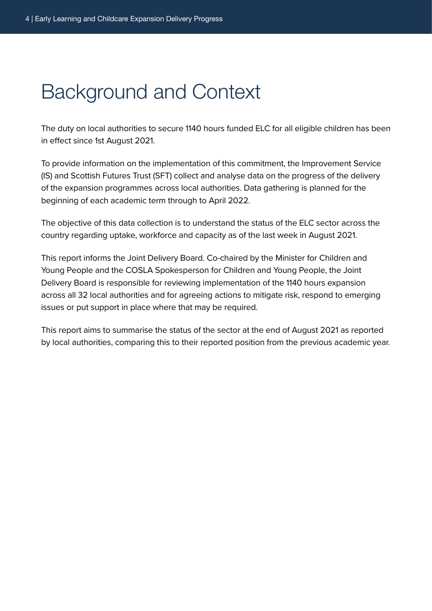# <span id="page-3-0"></span>Background and Context

The duty on local authorities to secure 1140 hours funded ELC for all eligible children has been in effect since 1st August 2021.

To provide information on the implementation of this commitment, the Improvement Service (IS) and Scottish Futures Trust (SFT) collect and analyse data on the progress of the delivery of the expansion programmes across local authorities. Data gathering is planned for the beginning of each academic term through to April 2022.

The objective of this data collection is to understand the status of the ELC sector across the country regarding uptake, workforce and capacity as of the last week in August 2021.

This report informs the Joint Delivery Board. Co-chaired by the Minister for Children and Young People and the COSLA Spokesperson for Children and Young People, the Joint Delivery Board is responsible for reviewing implementation of the 1140 hours expansion across all 32 local authorities and for agreeing actions to mitigate risk, respond to emerging issues or put support in place where that may be required.

This report aims to summarise the status of the sector at the end of August 2021 as reported by local authorities, comparing this to their reported position from the previous academic year.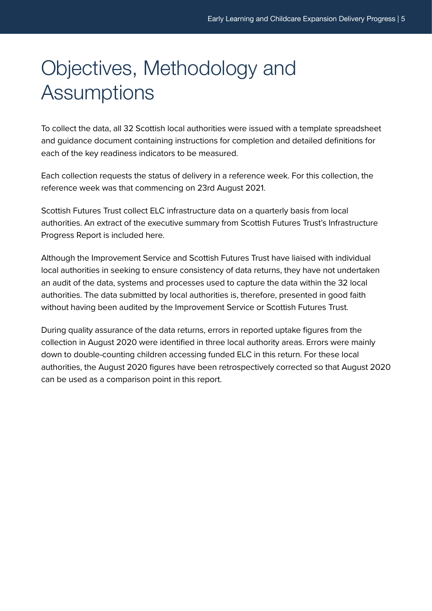# <span id="page-4-0"></span>Objectives, Methodology and **Assumptions**

To collect the data, all 32 Scottish local authorities were issued with a template spreadsheet and guidance document containing instructions for completion and detailed definitions for each of the key readiness indicators to be measured.

Each collection requests the status of delivery in a reference week. For this collection, the reference week was that commencing on 23rd August 2021.

Scottish Futures Trust collect ELC infrastructure data on a quarterly basis from local authorities. An extract of the executive summary from Scottish Futures Trust's Infrastructure Progress Report is included here.

Although the Improvement Service and Scottish Futures Trust have liaised with individual local authorities in seeking to ensure consistency of data returns, they have not undertaken an audit of the data, systems and processes used to capture the data within the 32 local authorities. The data submitted by local authorities is, therefore, presented in good faith without having been audited by the Improvement Service or Scottish Futures Trust.

During quality assurance of the data returns, errors in reported uptake figures from the collection in August 2020 were identified in three local authority areas. Errors were mainly down to double-counting children accessing funded ELC in this return. For these local authorities, the August 2020 figures have been retrospectively corrected so that August 2020 can be used as a comparison point in this report.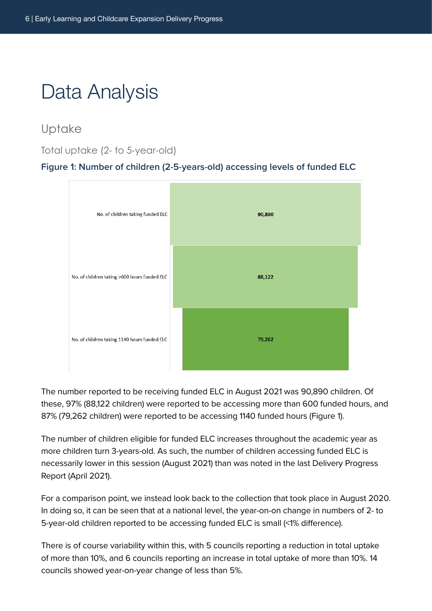<span id="page-5-0"></span>Data Analysis

Uptake

Total uptake (2- to 5-year-old)

#### **Figure 1: Number of children (2-5-years-old) accessing levels of funded ELC**



The number reported to be receiving funded ELC in August 2021 was 90,890 children. Of these, 97% (88,122 children) were reported to be accessing more than 600 funded hours, and 87% (79,262 children) were reported to be accessing 1140 funded hours (Figure 1).

The number of children eligible for funded ELC increases throughout the academic year as more children turn 3-years-old. As such, the number of children accessing funded ELC is necessarily lower in this session (August 2021) than was noted in the last Delivery Progress Report (April 2021).

For a comparison point, we instead look back to the collection that took place in August 2020. In doing so, it can be seen that at a national level, the year-on-on change in numbers of 2- to 5-year-old children reported to be accessing funded ELC is small (<1% difference).

There is of course variability within this, with 5 councils reporting a reduction in total uptake of more than 10%, and 6 councils reporting an increase in total uptake of more than 10%. 14 councils showed year-on-year change of less than 5%.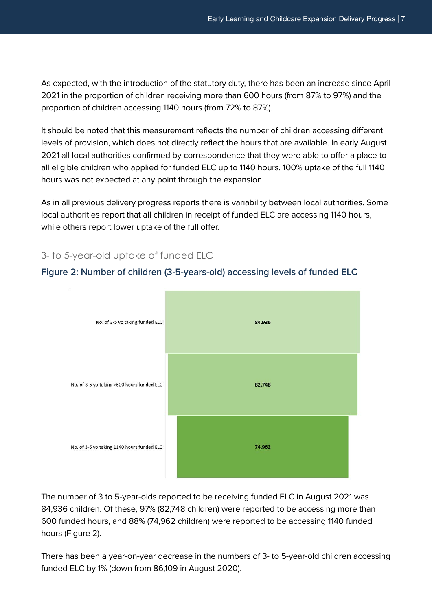As expected, with the introduction of the statutory duty, there has been an increase since April 2021 in the proportion of children receiving more than 600 hours (from 87% to 97%) and the proportion of children accessing 1140 hours (from 72% to 87%).

It should be noted that this measurement reflects the number of children accessing different levels of provision, which does not directly reflect the hours that are available. In early August 2021 all local authorities confirmed by correspondence that they were able to offer a place to all eligible children who applied for funded ELC up to 1140 hours. 100% uptake of the full 1140 hours was not expected at any point through the expansion.

As in all previous delivery progress reports there is variability between local authorities. Some local authorities report that all children in receipt of funded ELC are accessing 1140 hours, while others report lower uptake of the full offer.

### 3- to 5-year-old uptake of funded ELC





The number of 3 to 5-year-olds reported to be receiving funded ELC in August 2021 was 84,936 children. Of these, 97% (82,748 children) were reported to be accessing more than 600 funded hours, and 88% (74,962 children) were reported to be accessing 1140 funded hours (Figure 2).

There has been a year-on-year decrease in the numbers of 3- to 5-year-old children accessing funded ELC by 1% (down from 86,109 in August 2020).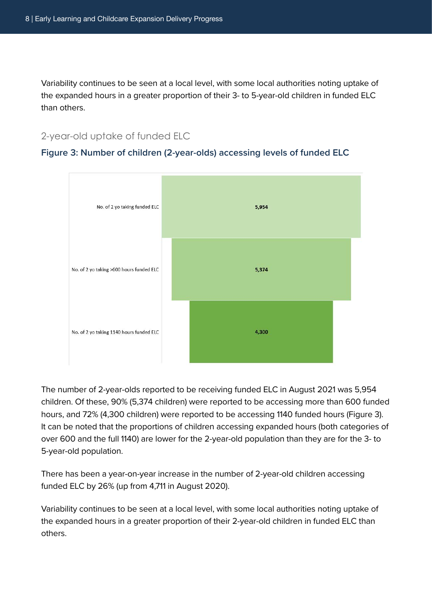Variability continues to be seen at a local level, with some local authorities noting uptake of the expanded hours in a greater proportion of their 3- to 5-year-old children in funded ELC than others.

#### 2-year-old uptake of funded ELC

#### **Figure 3: Number of children (2-year-olds) accessing levels of funded ELC**



The number of 2-year-olds reported to be receiving funded ELC in August 2021 was 5,954 children. Of these, 90% (5,374 children) were reported to be accessing more than 600 funded hours, and 72% (4,300 children) were reported to be accessing 1140 funded hours (Figure 3). It can be noted that the proportions of children accessing expanded hours (both categories of over 600 and the full 1140) are lower for the 2-year-old population than they are for the 3- to 5-year-old population.

There has been a year-on-year increase in the number of 2-year-old children accessing funded ELC by 26% (up from 4,711 in August 2020).

Variability continues to be seen at a local level, with some local authorities noting uptake of the expanded hours in a greater proportion of their 2-year-old children in funded ELC than others.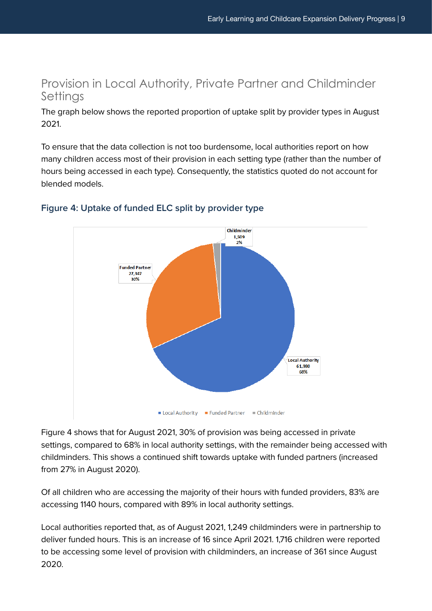# <span id="page-8-0"></span>Provision in Local Authority, Private Partner and Childminder **Settings**

The graph below shows the reported proportion of uptake split by provider types in August 2021.

To ensure that the data collection is not too burdensome, local authorities report on how many children access most of their provision in each setting type (rather than the number of hours being accessed in each type). Consequently, the statistics quoted do not account for blended models.



### **Figure 4: Uptake of funded ELC split by provider type**

Figure 4 shows that for August 2021, 30% of provision was being accessed in private settings, compared to 68% in local authority settings, with the remainder being accessed with childminders. This shows a continued shift towards uptake with funded partners (increased from 27% in August 2020).

Of all children who are accessing the majority of their hours with funded providers, 83% are accessing 1140 hours, compared with 89% in local authority settings.

Local authorities reported that, as of August 2021, 1,249 childminders were in partnership to deliver funded hours. This is an increase of 16 since April 2021. 1,716 children were reported to be accessing some level of provision with childminders, an increase of 361 since August 2020.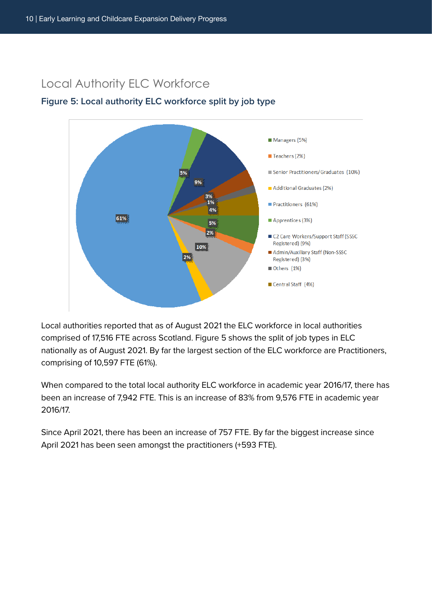## <span id="page-9-0"></span>Local Authority ELC Workforce

### **Figure 5: Local authority ELC workforce split by job type**



Local authorities reported that as of August 2021 the ELC workforce in local authorities comprised of 17,516 FTE across Scotland. Figure 5 shows the split of job types in ELC nationally as of August 2021. By far the largest section of the ELC workforce are Practitioners, comprising of 10,597 FTE (61%).

When compared to the total local authority ELC workforce in academic year 2016/17, there has been an increase of 7,942 FTE. This is an increase of 83% from 9,576 FTE in academic year 2016/17.

Since April 2021, there has been an increase of 757 FTE. By far the biggest increase since April 2021 has been seen amongst the practitioners (+593 FTE).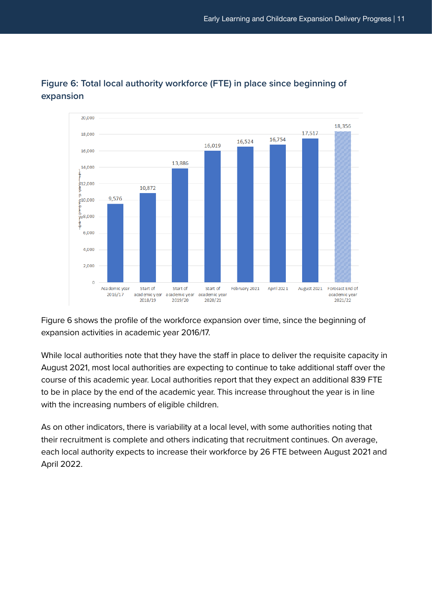

### **Figure 6: Total local authority workforce (FTE) in place since beginning of expansion**

Figure 6 shows the profile of the workforce expansion over time, since the beginning of expansion activities in academic year 2016/17.

While local authorities note that they have the staff in place to deliver the requisite capacity in August 2021, most local authorities are expecting to continue to take additional staff over the course of this academic year. Local authorities report that they expect an additional 839 FTE to be in place by the end of the academic year. This increase throughout the year is in line with the increasing numbers of eligible children.

As on other indicators, there is variability at a local level, with some authorities noting that their recruitment is complete and others indicating that recruitment continues. On average, each local authority expects to increase their workforce by 26 FTE between August 2021 and April 2022.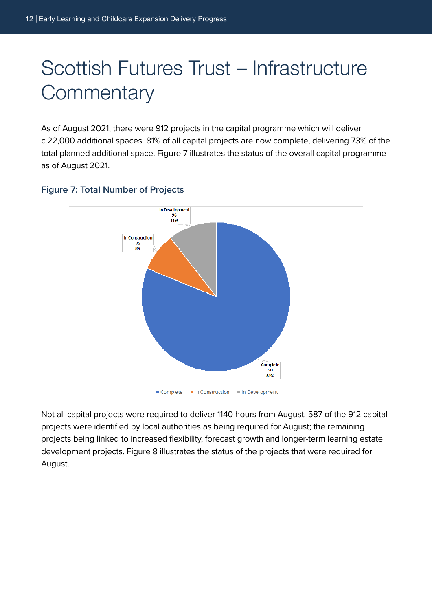# <span id="page-11-0"></span>Scottish Futures Trust – Infrastructure **Commentary**

As of August 2021, there were 912 projects in the capital programme which will deliver c.22,000 additional spaces. 81% of all capital projects are now complete, delivering 73% of the total planned additional space. Figure 7 illustrates the status of the overall capital programme as of August 2021.



### **Figure 7: Total Number of Projects**

Not all capital projects were required to deliver 1140 hours from August. 587 of the 912 capital projects were identified by local authorities as being required for August; the remaining projects being linked to increased flexibility, forecast growth and longer-term learning estate development projects. Figure 8 illustrates the status of the projects that were required for August.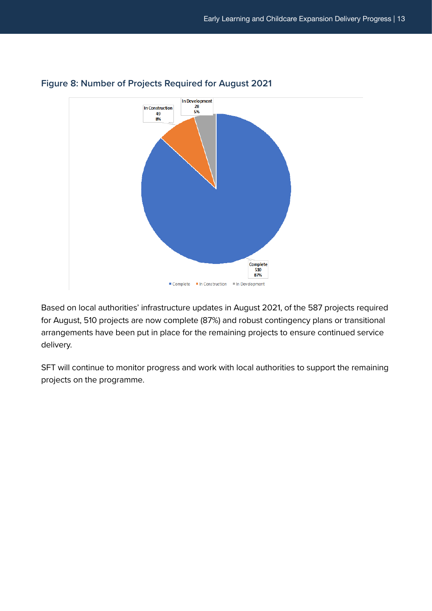

### **Figure 8: Number of Projects Required for August 2021**

Based on local authorities' infrastructure updates in August 2021, of the 587 projects required for August, 510 projects are now complete (87%) and robust contingency plans or transitional arrangements have been put in place for the remaining projects to ensure continued service delivery.

SFT will continue to monitor progress and work with local authorities to support the remaining projects on the programme.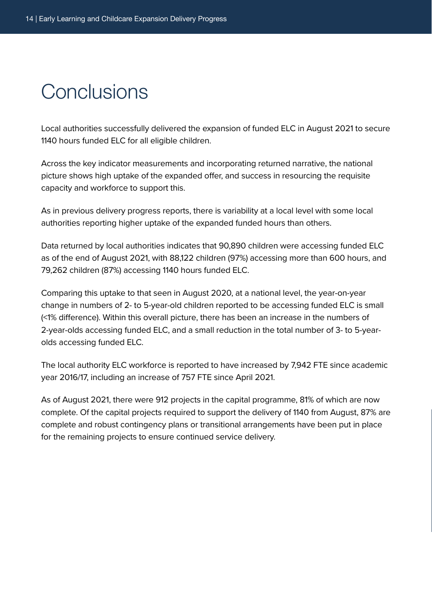# <span id="page-13-0"></span>**Conclusions**

Local authorities successfully delivered the expansion of funded ELC in August 2021 to secure 1140 hours funded ELC for all eligible children.

Across the key indicator measurements and incorporating returned narrative, the national picture shows high uptake of the expanded offer, and success in resourcing the requisite capacity and workforce to support this.

As in previous delivery progress reports, there is variability at a local level with some local authorities reporting higher uptake of the expanded funded hours than others.

Data returned by local authorities indicates that 90,890 children were accessing funded ELC as of the end of August 2021, with 88,122 children (97%) accessing more than 600 hours, and 79,262 children (87%) accessing 1140 hours funded ELC.

Comparing this uptake to that seen in August 2020, at a national level, the year-on-year change in numbers of 2- to 5-year-old children reported to be accessing funded ELC is small (<1% difference). Within this overall picture, there has been an increase in the numbers of 2-year-olds accessing funded ELC, and a small reduction in the total number of 3- to 5-yearolds accessing funded ELC.

The local authority ELC workforce is reported to have increased by 7,942 FTE since academic year 2016/17, including an increase of 757 FTE since April 2021.

As of August 2021, there were 912 projects in the capital programme, 81% of which are now complete. Of the capital projects required to support the delivery of 1140 from August, 87% are complete and robust contingency plans or transitional arrangements have been put in place for the remaining projects to ensure continued service delivery.